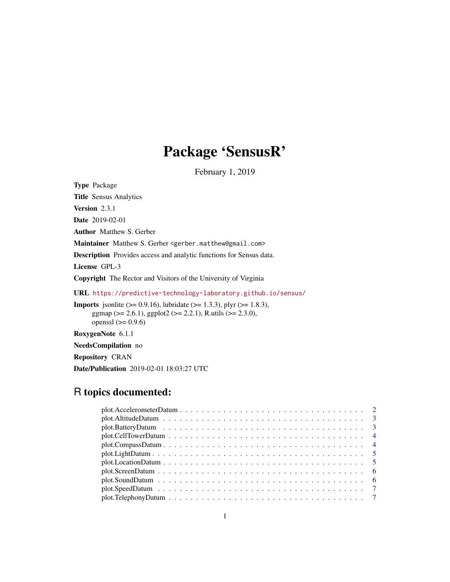# Package 'SensusR'

February 1, 2019

<span id="page-0-0"></span>

| <b>Type Package</b>                                                                                                                                                                         |
|---------------------------------------------------------------------------------------------------------------------------------------------------------------------------------------------|
| <b>Title Sensus Analytics</b>                                                                                                                                                               |
| <b>Version</b> $2.3.1$                                                                                                                                                                      |
| <b>Date</b> 2019-02-01                                                                                                                                                                      |
| <b>Author</b> Matthew S. Gerber                                                                                                                                                             |
| Maintainer Matthew S. Gerber <gerber.matthew@gmail.com></gerber.matthew@gmail.com>                                                                                                          |
| <b>Description</b> Provides access and analytic functions for Sensus data.                                                                                                                  |
| License GPL-3                                                                                                                                                                               |
| <b>Copyright</b> The Rector and Visitors of the University of Virginia                                                                                                                      |
| <b>URL</b> https://predictive-technology-laboratory.github.io/sensus/                                                                                                                       |
| <b>Imports</b> jsonlite ( $> = 0.9.16$ ), lubridate ( $> = 1.3.3$ ), plyr ( $> = 1.8.3$ ),<br>ggmap ( $>= 2.6.1$ ), ggplot2 ( $>= 2.2.1$ ), R.utils ( $>= 2.3.0$ ),<br>openssl $(>= 0.9.6)$ |
| RoxygenNote 6.1.1                                                                                                                                                                           |
| <b>NeedsCompilation</b> no                                                                                                                                                                  |

Repository CRAN

Date/Publication 2019-02-01 18:03:27 UTC

# R topics documented: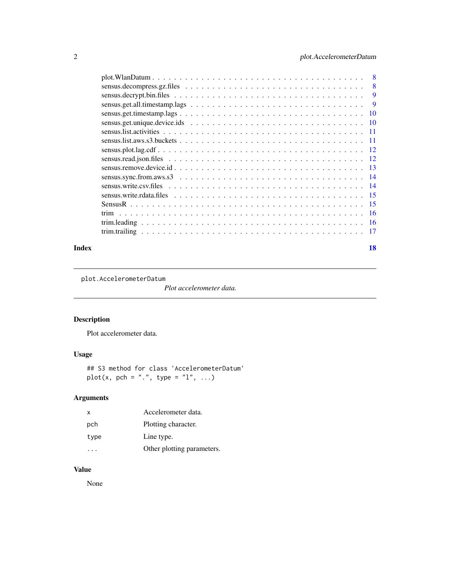<span id="page-1-0"></span>

| $\overline{\phantom{0}}8$ |
|---------------------------|
| 8                         |
| 9                         |
| -9                        |
| -10                       |
|                           |
|                           |
|                           |
|                           |
|                           |
|                           |
|                           |
|                           |
|                           |
|                           |
|                           |
|                           |
|                           |
|                           |

#### **Index** 2008 **[18](#page-17-0)**

plot.AccelerometerDatum

*Plot accelerometer data.*

# Description

Plot accelerometer data.

# Usage

## S3 method for class 'AccelerometerDatum'  $plot(x, pch = "." , type = "l", ...)$ 

# Arguments

| x    | Accelerometer data.        |
|------|----------------------------|
| pch  | Plotting character.        |
| type | Line type.                 |
|      | Other plotting parameters. |

# Value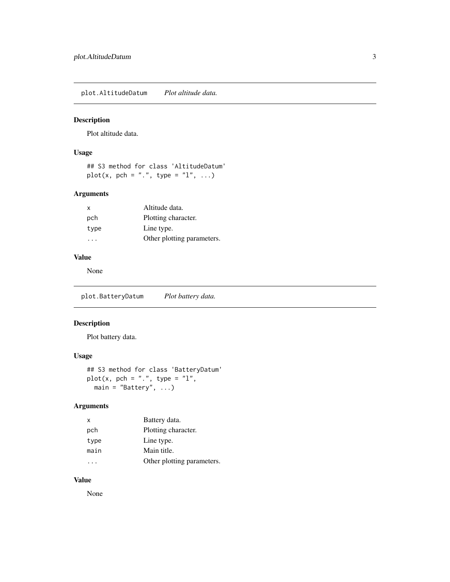<span id="page-2-0"></span>plot.AltitudeDatum *Plot altitude data.*

### Description

Plot altitude data.

### Usage

## S3 method for class 'AltitudeDatum'  $plot(x, pch = "." , type = "l", ...)$ 

# Arguments

| $\mathsf{x}$ | Altitude data.             |
|--------------|----------------------------|
| pch          | Plotting character.        |
| type         | Line type.                 |
| .            | Other plotting parameters. |
|              |                            |

# Value

None

plot.BatteryDatum *Plot battery data.*

# Description

Plot battery data.

# Usage

```
## S3 method for class 'BatteryDatum'
plot(x, pch = "." , type = "l",main = "Battery", ...)
```
#### Arguments

| X    | Battery data.              |
|------|----------------------------|
| pch  | Plotting character.        |
| type | Line type.                 |
| main | Main title.                |
|      | Other plotting parameters. |

#### Value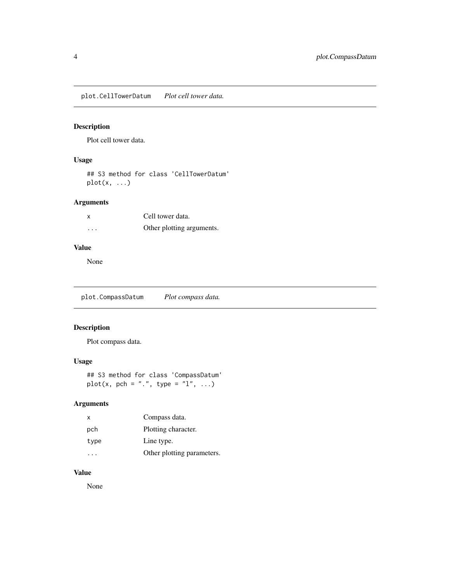<span id="page-3-0"></span>plot.CellTowerDatum *Plot cell tower data.*

# Description

Plot cell tower data.

#### Usage

## S3 method for class 'CellTowerDatum'  $plot(x, \ldots)$ 

### Arguments

| X        | Cell tower data.          |
|----------|---------------------------|
| $\cdots$ | Other plotting arguments. |

# Value

None

plot.CompassDatum *Plot compass data.*

# Description

Plot compass data.

#### Usage

## S3 method for class 'CompassDatum' plot(x, pch = ".", type = "l", ...)

#### Arguments

| $\mathsf{x}$ | Compass data.              |
|--------------|----------------------------|
| pch          | Plotting character.        |
| type         | Line type.                 |
|              | Other plotting parameters. |

#### Value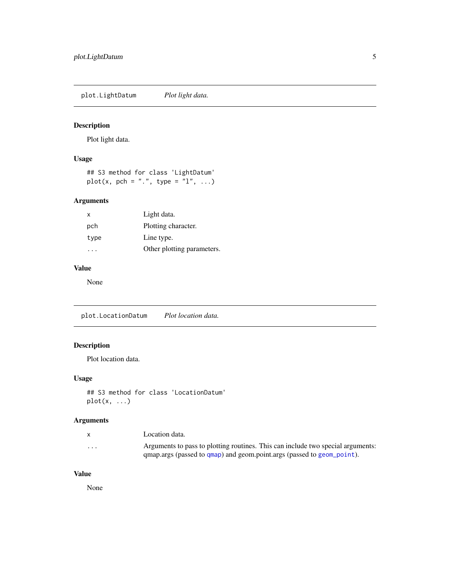<span id="page-4-0"></span>plot.LightDatum *Plot light data.*

# Description

Plot light data.

# Usage

## S3 method for class 'LightDatum' plot(x, pch = ".", type =  $"1", ...$ )

#### Arguments

| $\mathsf{x}$ | Light data.                |
|--------------|----------------------------|
| pch          | Plotting character.        |
| type         | Line type.                 |
|              | Other plotting parameters. |

# Value

None

plot.LocationDatum *Plot location data.*

# Description

Plot location data.

#### Usage

## S3 method for class 'LocationDatum'  $plot(x, \ldots)$ 

# Arguments

| X        | Location data.                                                                  |
|----------|---------------------------------------------------------------------------------|
| $\cdots$ | Arguments to pass to plotting routines. This can include two special arguments: |
|          | qmap.args (passed to qmap) and geom.point.args (passed to geom_point).          |

#### Value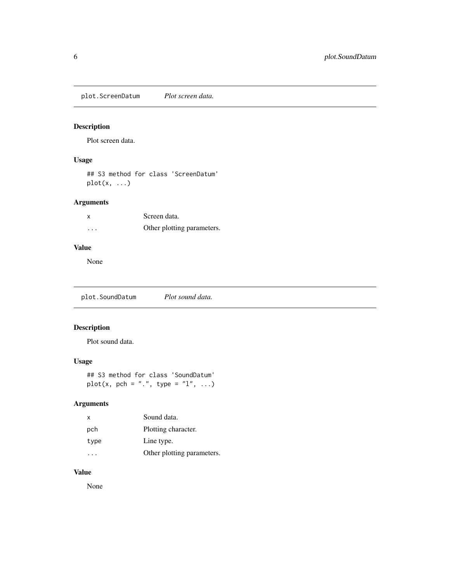<span id="page-5-0"></span>plot.ScreenDatum *Plot screen data.*

# Description

Plot screen data.

# Usage

## S3 method for class 'ScreenDatum'  $plot(x, \ldots)$ 

# Arguments

| X | Screen data.               |
|---|----------------------------|
| . | Other plotting parameters. |

# Value

None

plot.SoundDatum *Plot sound data.*

# Description

Plot sound data.

#### Usage

## S3 method for class 'SoundDatum'  $plot(x, pch = "."", type = "l", ...)$ 

#### Arguments

| x    | Sound data.                |
|------|----------------------------|
| pch  | Plotting character.        |
| type | Line type.                 |
|      | Other plotting parameters. |

#### Value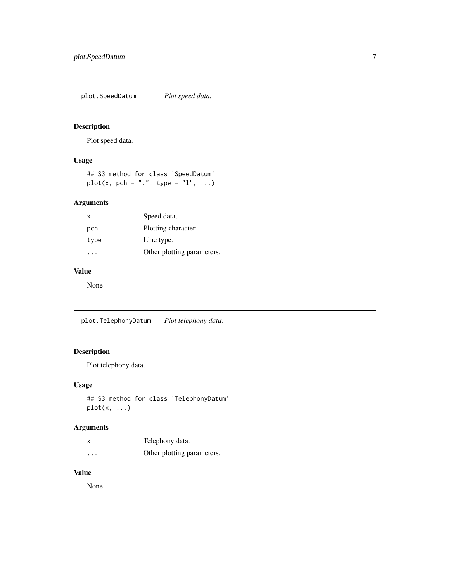<span id="page-6-0"></span>plot.SpeedDatum *Plot speed data.*

#### Description

Plot speed data.

#### Usage

## S3 method for class 'SpeedDatum' plot(x, pch = ".", type = "l", ...)

# Arguments

| X    | Speed data.                |
|------|----------------------------|
| pch  | Plotting character.        |
| type | Line type.                 |
|      | Other plotting parameters. |
|      |                            |

# Value

None

plot.TelephonyDatum *Plot telephony data.*

# Description

Plot telephony data.

#### Usage

```
## S3 method for class 'TelephonyDatum'
plot(x, ...)
```
#### Arguments

| Χ                       | Telephony data.            |
|-------------------------|----------------------------|
| $\cdot$ $\cdot$ $\cdot$ | Other plotting parameters. |

#### Value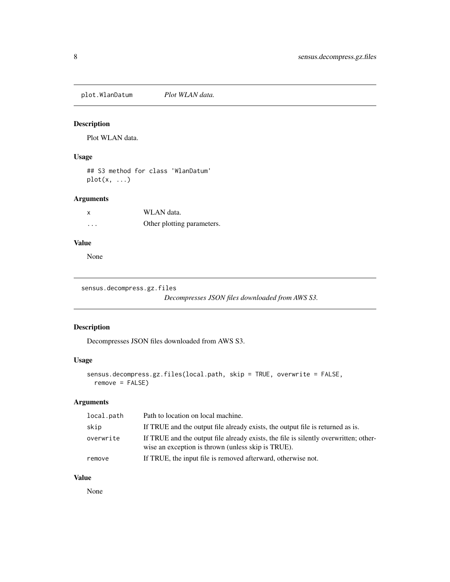<span id="page-7-0"></span>plot.WlanDatum *Plot WLAN data.*

#### Description

Plot WLAN data.

#### Usage

## S3 method for class 'WlanDatum'  $plot(x, \ldots)$ 

# Arguments

| x        | WLAN data.                 |
|----------|----------------------------|
| $\cdots$ | Other plotting parameters. |

#### Value

None

```
sensus.decompress.gz.files
```
*Decompresses JSON files downloaded from AWS S3.*

# Description

Decompresses JSON files downloaded from AWS S3.

# Usage

```
sensus.decompress.gz.files(local.path, skip = TRUE, overwrite = FALSE,
  remove = FALSE)
```
#### Arguments

| local.path | Path to location on local machine.                                                                                                         |
|------------|--------------------------------------------------------------------------------------------------------------------------------------------|
| skip       | If TRUE and the output file already exists, the output file is returned as is.                                                             |
| overwrite  | If TRUE and the output file already exists, the file is silently overwritten; other-<br>wise an exception is thrown (unless skip is TRUE). |
| remove     | If TRUE, the input file is removed afterward, otherwise not.                                                                               |

# Value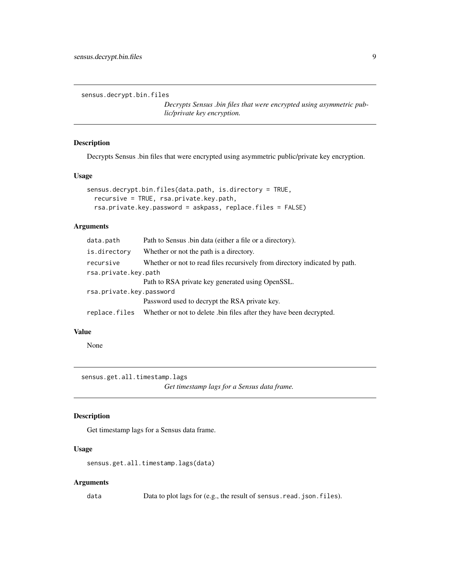<span id="page-8-0"></span>sensus.decrypt.bin.files

*Decrypts Sensus .bin files that were encrypted using asymmetric public/private key encryption.*

#### Description

Decrypts Sensus .bin files that were encrypted using asymmetric public/private key encryption.

#### Usage

```
sensus.decrypt.bin.files(data.path, is.directory = TRUE,
 recursive = TRUE, rsa.private.key.path,
 rsa.private.key.password = askpass, replace.files = FALSE)
```
#### Arguments

| data.path                | Path to Sensus .bin data (either a file or a directory).                   |
|--------------------------|----------------------------------------------------------------------------|
| is.directory             | Whether or not the path is a directory.                                    |
| recursive                | Whether or not to read files recursively from directory indicated by path. |
| rsa.private.key.path     |                                                                            |
|                          | Path to RSA private key generated using OpenSSL.                           |
| rsa.private.key.password |                                                                            |
|                          | Password used to decrypt the RSA private key.                              |
| replace.files            | Whether or not to delete bin files after they have been decrypted.         |

#### Value

None

sensus.get.all.timestamp.lags

*Get timestamp lags for a Sensus data frame.*

#### Description

Get timestamp lags for a Sensus data frame.

#### Usage

sensus.get.all.timestamp.lags(data)

#### Arguments

data Data to plot lags for (e.g., the result of sensus.read.json.files).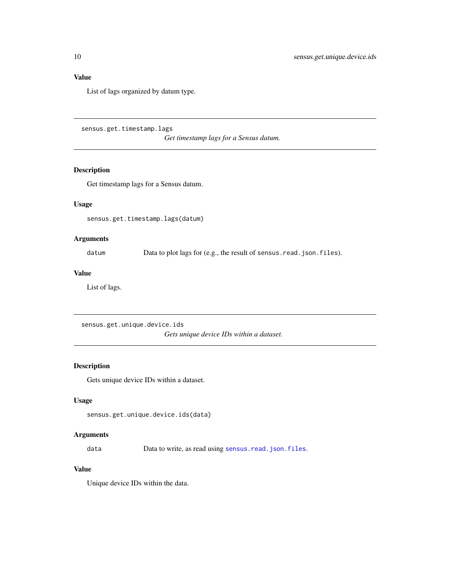# <span id="page-9-0"></span>Value

List of lags organized by datum type.

sensus.get.timestamp.lags

*Get timestamp lags for a Sensus datum.*

#### Description

Get timestamp lags for a Sensus datum.

#### Usage

sensus.get.timestamp.lags(datum)

#### Arguments

datum Data to plot lags for (e.g., the result of sensus.read.json.files).

#### Value

List of lags.

sensus.get.unique.device.ids *Gets unique device IDs within a dataset.*

#### Description

Gets unique device IDs within a dataset.

#### Usage

sensus.get.unique.device.ids(data)

#### Arguments

data Data to write, as read using [sensus.read.json.files](#page-11-1).

#### Value

Unique device IDs within the data.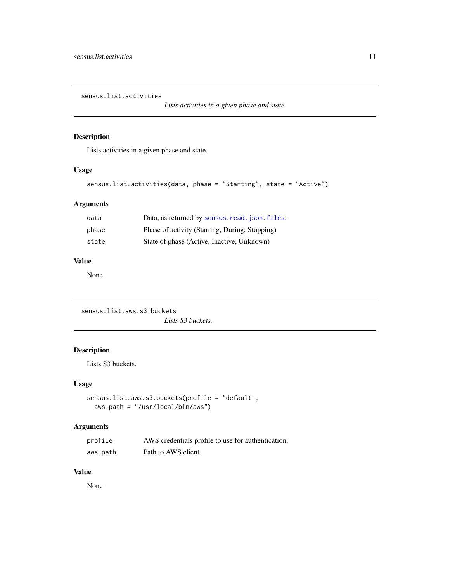<span id="page-10-0"></span>sensus.list.activities

*Lists activities in a given phase and state.*

#### Description

Lists activities in a given phase and state.

#### Usage

```
sensus.list.activities(data, phase = "Starting", state = "Active")
```
#### Arguments

| data  | Data, as returned by sensus, read, json, files. |
|-------|-------------------------------------------------|
| phase | Phase of activity (Starting, During, Stopping)  |
| state | State of phase (Active, Inactive, Unknown)      |

#### Value

None

sensus.list.aws.s3.buckets *Lists S3 buckets.*

# Description

Lists S3 buckets.

#### Usage

```
sensus.list.aws.s3.buckets(profile = "default",
  aws.path = "/usr/local/bin/aws")
```
#### Arguments

| profile  | AWS credentials profile to use for authentication. |
|----------|----------------------------------------------------|
| aws.path | Path to AWS client.                                |

#### Value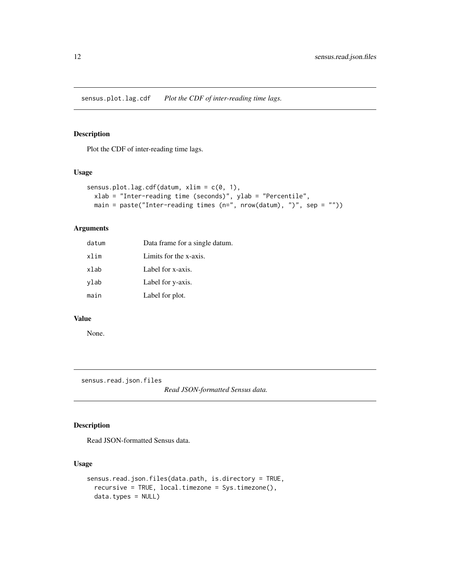<span id="page-11-0"></span>sensus.plot.lag.cdf *Plot the CDF of inter-reading time lags.*

#### Description

Plot the CDF of inter-reading time lags.

#### Usage

```
sensus.plot.lag.cdf(datum, xlim = c(0, 1),
 xlab = "Inter-reading time (seconds)", ylab = "Percentile",
 main = paste("Inter-reading times (n=", nrow(datum), ")", sep = ""))
```
#### Arguments

| datum | Data frame for a single datum. |
|-------|--------------------------------|
| xlim  | Limits for the x-axis.         |
| xlab  | Label for x-axis.              |
| ylab  | Label for y-axis.              |
| main  | Label for plot.                |

#### Value

None.

<span id="page-11-1"></span>sensus.read.json.files

*Read JSON-formatted Sensus data.*

#### Description

Read JSON-formatted Sensus data.

#### Usage

```
sensus.read.json.files(data.path, is.directory = TRUE,
  recursive = TRUE, local.timezone = Sys.timezone(),
  data.types = NULL)
```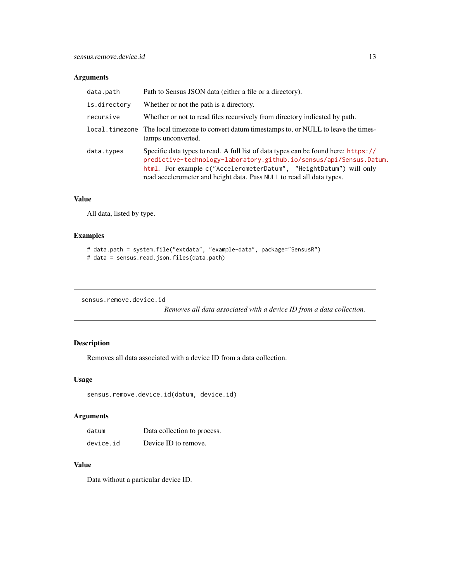#### <span id="page-12-0"></span>Arguments

| data.path    | Path to Sensus JSON data (either a file or a directory).                                                                                                                                                                                                                                                 |
|--------------|----------------------------------------------------------------------------------------------------------------------------------------------------------------------------------------------------------------------------------------------------------------------------------------------------------|
| is.directory | Whether or not the path is a directory.                                                                                                                                                                                                                                                                  |
| recursive    | Whether or not to read files recursively from directory indicated by path.                                                                                                                                                                                                                               |
|              | local, timezone The local timezone to convert datum timestamps to, or NULL to leave the times-<br>tamps unconverted.                                                                                                                                                                                     |
| data.types   | Specific data types to read. A full list of data types can be found here: https://<br>predictive-technology-laboratory.github.io/sensus/api/Sensus.Datum.<br>html. For example c("AccelerometerDatum", "HeightDatum") will only<br>read accelerometer and height data. Pass NULL to read all data types. |

#### Value

All data, listed by type.

#### Examples

```
# data.path = system.file("extdata", "example-data", package="SensusR")
# data = sensus.read.json.files(data.path)
```
sensus.remove.device.id

*Removes all data associated with a device ID from a data collection.*

#### Description

Removes all data associated with a device ID from a data collection.

#### Usage

```
sensus.remove.device.id(datum, device.id)
```
#### Arguments

| datum     | Data collection to process. |
|-----------|-----------------------------|
| device.id | Device ID to remove.        |

# Value

Data without a particular device ID.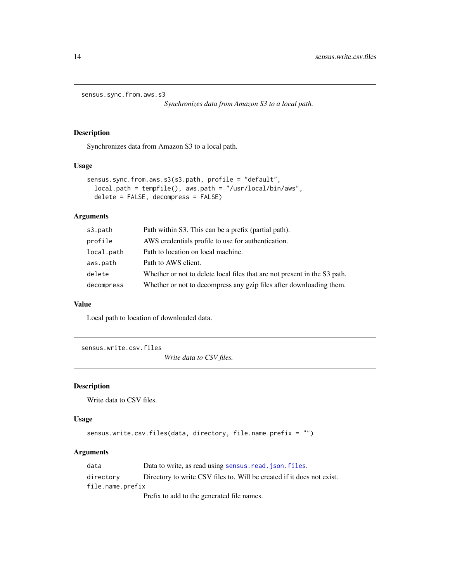```
sensus.sync.from.aws.s3
```
*Synchronizes data from Amazon S3 to a local path.*

#### Description

Synchronizes data from Amazon S3 to a local path.

#### Usage

```
sensus.sync.from.aws.s3(s3.path, profile = "default",
 local.path = tempfile(), aws.path = "/usr/local/bin/aws",
 delete = FALSE, decompress = FALSE)
```
#### Arguments

| s3.path    | Path within S3. This can be a prefix (partial path).                      |
|------------|---------------------------------------------------------------------------|
| profile    | AWS credentials profile to use for authentication.                        |
| local.path | Path to location on local machine.                                        |
| aws.path   | Path to AWS client.                                                       |
| delete     | Whether or not to delete local files that are not present in the S3 path. |
| decompress | Whether or not to decompress any gzip files after downloading them.       |

#### Value

Local path to location of downloaded data.

sensus.write.csv.files

*Write data to CSV files.*

#### Description

Write data to CSV files.

#### Usage

```
sensus.write.csv.files(data, directory, file.name.prefix = "")
```
#### Arguments

| data             | Data to write, as read using sensus read, json, files.                 |
|------------------|------------------------------------------------------------------------|
| directory        | Directory to write CSV files to. Will be created if it does not exist. |
| file.name.prefix |                                                                        |
|                  | $P = C \t{11.4}$                                                       |

Prefix to add to the generated file names.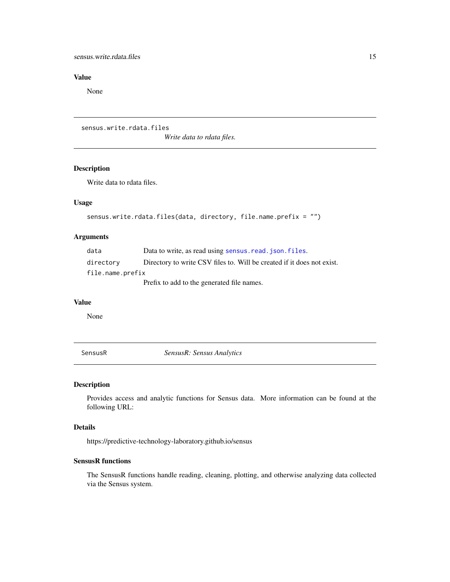# <span id="page-14-0"></span>Value

None

```
sensus.write.rdata.files
```
*Write data to rdata files.*

#### Description

Write data to rdata files.

### Usage

```
sensus.write.rdata.files(data, directory, file.name.prefix = "")
```
#### Arguments

| data             | Data to write, as read using sensus, read, json, files.                |
|------------------|------------------------------------------------------------------------|
| directory        | Directory to write CSV files to. Will be created if it does not exist. |
| file.name.prefix |                                                                        |
|                  | Prefix to add to the generated file names.                             |

#### Value

None

SensusR *SensusR: Sensus Analytics*

#### Description

Provides access and analytic functions for Sensus data. More information can be found at the following URL:

#### Details

https://predictive-technology-laboratory.github.io/sensus

# SensusR functions

The SensusR functions handle reading, cleaning, plotting, and otherwise analyzing data collected via the Sensus system.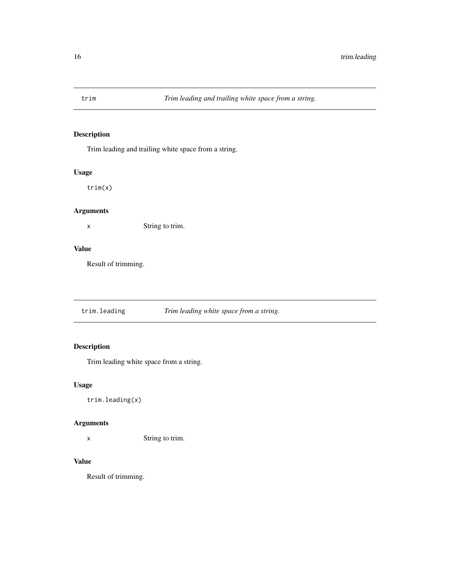<span id="page-15-0"></span>

# Description

Trim leading and trailing white space from a string.

#### Usage

trim(x)

# Arguments

x String to trim.

#### Value

Result of trimming.

trim.leading *Trim leading white space from a string.*

# Description

Trim leading white space from a string.

#### Usage

trim.leading(x)

#### Arguments

x String to trim.

#### Value

Result of trimming.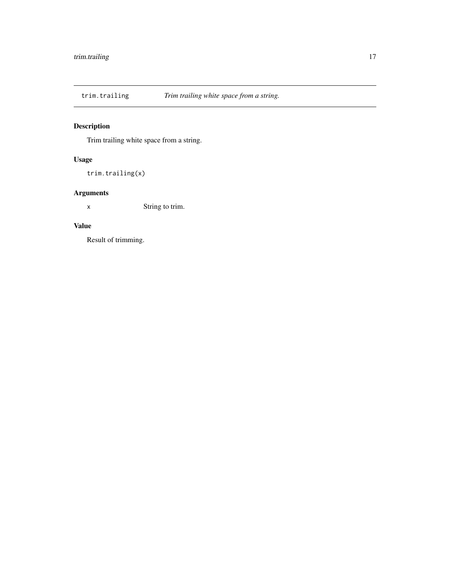<span id="page-16-0"></span>

# Description

Trim trailing white space from a string.

# Usage

trim.trailing(x)

# Arguments

x String to trim.

# Value

Result of trimming.